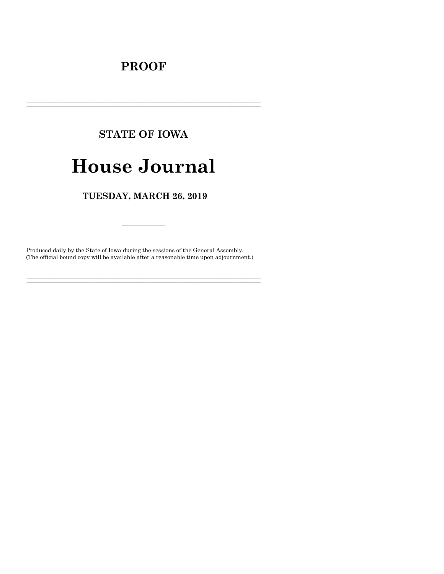# **PROOF**

# **STATE OF IOWA**

# **House Journal**

# TUESDAY, MARCH 26, 2019

Produced daily by the State of Iowa during the sessions of the General Assembly. (The official bound copy will be available after a reasonable time upon adjournment.)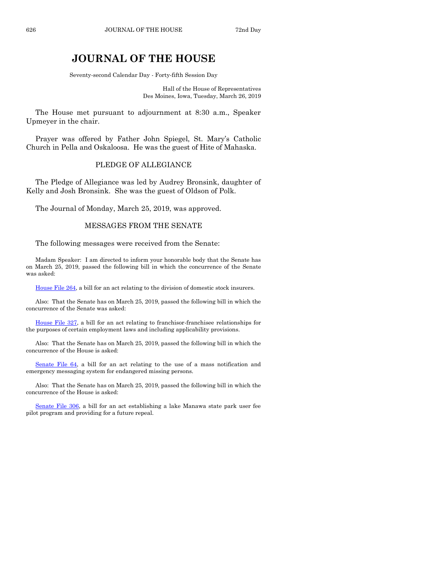# **JOURNAL OF THE HOUSE**

Seventy-second Calendar Day - Forty-fifth Session Day

Hall of the House of Representatives Des Moines, Iowa, Tuesday, March 26, 2019

The House met pursuant to adjournment at 8:30 a.m., Speaker Upmeyer in the chair.

Prayer was offered by Father John Spiegel, St. Mary's Catholic Church in Pella and Oskaloosa. He was the guest of Hite of Mahaska.

#### PLEDGE OF ALLEGIANCE

The Pledge of Allegiance was led by Audrey Bronsink, daughter of Kelly and Josh Bronsink. She was the guest of Oldson of Polk.

The Journal of Monday, March 25, 2019, was approved.

#### MESSAGES FROM THE SENATE

The following messages were received from the Senate:

Madam Speaker: I am directed to inform your honorable body that the Senate has on March 25, 2019, passed the following bill in which the concurrence of the Senate was asked:

[House File 264,](https://www.legis.iowa.gov/legislation/BillBook?ga=88&ba=HF264) a bill for an act relating to the division of domestic stock insurers.

Also: That the Senate has on March 25, 2019, passed the following bill in which the concurrence of the Senate was asked:

[House File 327,](https://www.legis.iowa.gov/legislation/BillBook?ga=88&ba=HF327) a bill for an act relating to franchisor-franchisee relationships for the purposes of certain employment laws and including applicability provisions.

Also: That the Senate has on March 25, 2019, passed the following bill in which the concurrence of the House is asked:

[Senate File 64,](https://www.legis.iowa.gov/legislation/BillBook?ga=88&ba=SF64) a bill for an act relating to the use of a mass notification and emergency messaging system for endangered missing persons.

Also: That the Senate has on March 25, 2019, passed the following bill in which the concurrence of the House is asked:

[Senate File 306,](https://www.legis.iowa.gov/legislation/BillBook?ga=88&ba=SF306) a bill for an act establishing a lake Manawa state park user fee pilot program and providing for a future repeal.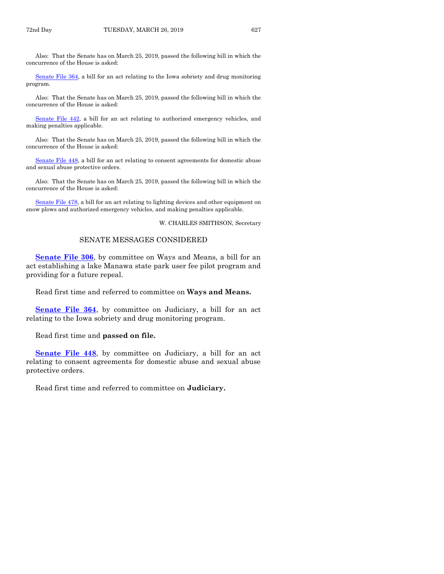Also: That the Senate has on March 25, 2019, passed the following bill in which the concurrence of the House is asked:

[Senate File 364,](https://www.legis.iowa.gov/legislation/BillBook?ga=88&ba=SF364) a bill for an act relating to the Iowa sobriety and drug monitoring program.

Also: That the Senate has on March 25, 2019, passed the following bill in which the concurrence of the House is asked:

[Senate File 442,](https://www.legis.iowa.gov/legislation/BillBook?ga=88&ba=SF442) a bill for an act relating to authorized emergency vehicles, and making penalties applicable.

Also: That the Senate has on March 25, 2019, passed the following bill in which the concurrence of the House is asked:

[Senate File 448,](https://www.legis.iowa.gov/legislation/BillBook?ga=88&ba=SF448) a bill for an act relating to consent agreements for domestic abuse and sexual abuse protective orders.

Also: That the Senate has on March 25, 2019, passed the following bill in which the concurrence of the House is asked:

[Senate File 478,](https://www.legis.iowa.gov/legislation/BillBook?ga=88&ba=SF478) a bill for an act relating to lighting devices and other equipment on snow plows and authorized emergency vehicles, and making penalties applicable.

W. CHARLES SMITHSON, Secretary

#### SENATE MESSAGES CONSIDERED

**[Senate File 306](https://www.legis.iowa.gov/legislation/BillBook?ga=88&ba=SF306)**, by committee on Ways and Means, a bill for an act establishing a lake Manawa state park user fee pilot program and providing for a future repeal.

Read first time and referred to committee on **Ways and Means.**

**[Senate File 364](https://www.legis.iowa.gov/legislation/BillBook?ga=88&ba=SF364)**, by committee on Judiciary, a bill for an act relating to the Iowa sobriety and drug monitoring program.

Read first time and **passed on file.**

**[Senate File 448](https://www.legis.iowa.gov/legislation/BillBook?ga=88&ba=SF448)**, by committee on Judiciary, a bill for an act relating to consent agreements for domestic abuse and sexual abuse protective orders.

Read first time and referred to committee on **Judiciary.**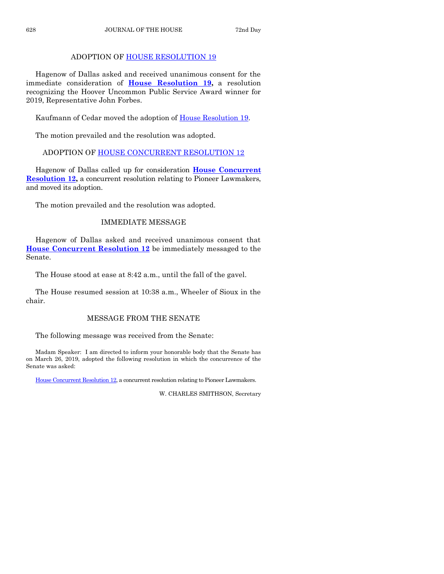# ADOPTION OF [HOUSE RESOLUTION 19](https://www.legis.iowa.gov/legislation/BillBook?ga=88&ba=HR19)

Hagenow of Dallas asked and received unanimous consent for the immediate consideration of **[House Resolution 19,](https://www.legis.iowa.gov/legislation/BillBook?ga=88&ba=HR19)** a resolution recognizing the Hoover Uncommon Public Service Award winner for 2019, Representative John Forbes.

Kaufmann of Cedar moved the adoption of [House Resolution 19.](https://www.legis.iowa.gov/legislation/BillBook?ga=88&ba=HR19)

The motion prevailed and the resolution was adopted.

# ADOPTION OF [HOUSE CONCURRENT RESOLUTION 12](https://www.legis.iowa.gov/legislation/BillBook?ga=88&ba=HCR12)

Hagenow of Dallas called up for consideration **[House Concurrent](https://www.legis.iowa.gov/legislation/BillBook?ga=88&ba=HCR12)  [Resolution 12,](https://www.legis.iowa.gov/legislation/BillBook?ga=88&ba=HCR12)** a concurrent resolution relating to Pioneer Lawmakers, and moved its adoption.

The motion prevailed and the resolution was adopted.

# IMMEDIATE MESSAGE

Hagenow of Dallas asked and received unanimous consent that **[House Concurrent Resolution 12](https://www.legis.iowa.gov/legislation/BillBook?ga=88&ba=HCR12)** be immediately messaged to the Senate.

The House stood at ease at 8:42 a.m., until the fall of the gavel.

The House resumed session at 10:38 a.m., Wheeler of Sioux in the chair.

# MESSAGE FROM THE SENATE

The following message was received from the Senate:

Madam Speaker: I am directed to inform your honorable body that the Senate has on March 26, 2019, adopted the following resolution in which the concurrence of the Senate was asked:

[House Concurrent Resolution 12,](https://www.legis.iowa.gov/legislation/BillBook?ga=88&ba=HCR12) a concurrent resolution relating to Pioneer Lawmakers.

W. CHARLES SMITHSON, Secretary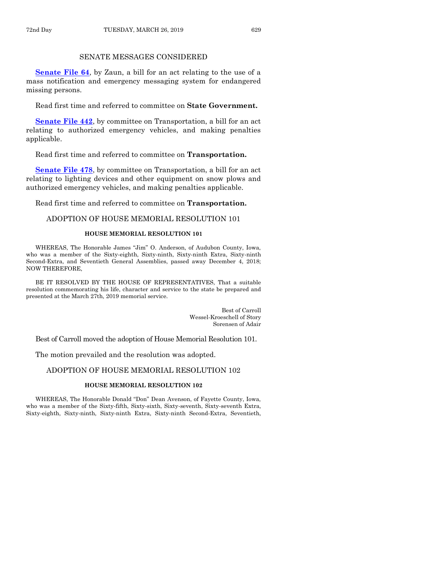# SENATE MESSAGES CONSIDERED

**[Senate File 64](https://www.legis.iowa.gov/legislation/BillBook?ga=88&ba=SF64)**, by Zaun, a bill for an act relating to the use of a mass notification and emergency messaging system for endangered missing persons.

Read first time and referred to committee on **State Government.**

**[Senate File 442](https://www.legis.iowa.gov/legislation/BillBook?ga=88&ba=SF442)**, by committee on Transportation, a bill for an act relating to authorized emergency vehicles, and making penalties applicable.

Read first time and referred to committee on **Transportation.**

**[Senate File 478](https://www.legis.iowa.gov/legislation/BillBook?ga=88&ba=SF478)**, by committee on Transportation, a bill for an act relating to lighting devices and other equipment on snow plows and authorized emergency vehicles, and making penalties applicable.

Read first time and referred to committee on **Transportation.**

#### ADOPTION OF HOUSE MEMORIAL RESOLUTION 101

#### **HOUSE MEMORIAL RESOLUTION 101**

WHEREAS, The Honorable James "Jim" O. Anderson, of Audubon County, Iowa, who was a member of the Sixty-eighth, Sixty-ninth, Sixty-ninth Extra, Sixty-ninth Second-Extra, and Seventieth General Assemblies, passed away December 4, 2018; NOW THEREFORE,

BE IT RESOLVED BY THE HOUSE OF REPRESENTATIVES, That a suitable resolution commemorating his life, character and service to the state be prepared and presented at the March 27th, 2019 memorial service.

> Best of Carroll Wessel-Kroeschell of Story Sorensen of Adair

Best of Carroll moved the adoption of House Memorial Resolution 101.

The motion prevailed and the resolution was adopted.

# ADOPTION OF HOUSE MEMORIAL RESOLUTION 102

#### **HOUSE MEMORIAL RESOLUTION 102**

WHEREAS, The Honorable Donald "Don" Dean Avenson, of Fayette County, Iowa, who was a member of the Sixty-fifth, Sixty-sixth, Sixty-seventh, Sixty-seventh Extra, Sixty-eighth, Sixty-ninth, Sixty-ninth Extra, Sixty-ninth Second-Extra, Seventieth,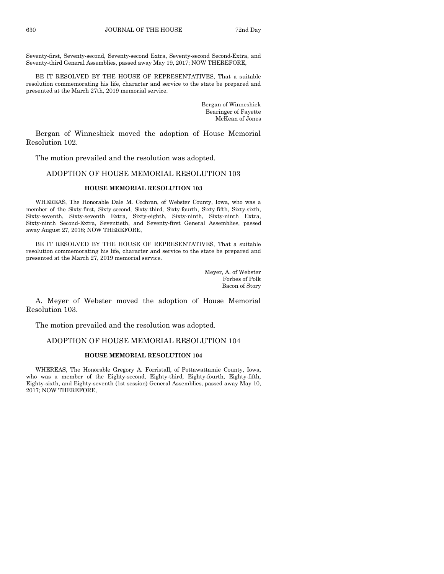Seventy-first, Seventy-second, Seventy-second Extra, Seventy-second Second-Extra, and Seventy-third General Assemblies, passed away May 19, 2017; NOW THEREFORE,

BE IT RESOLVED BY THE HOUSE OF REPRESENTATIVES, That a suitable resolution commemorating his life, character and service to the state be prepared and presented at the March 27th, 2019 memorial service.

> Bergan of Winneshiek Bearinger of Fayette McKean of Jones

Bergan of Winneshiek moved the adoption of House Memorial Resolution 102.

The motion prevailed and the resolution was adopted.

#### ADOPTION OF HOUSE MEMORIAL RESOLUTION 103

#### **HOUSE MEMORIAL RESOLUTION 103**

WHEREAS, The Honorable Dale M. Cochran, of Webster County, Iowa, who was a member of the Sixty-first, Sixty-second, Sixty-third, Sixty-fourth, Sixty-fifth, Sixty-sixth, Sixty-seventh, Sixty-seventh Extra, Sixty-eighth, Sixty-ninth, Sixty-ninth Extra, Sixty-ninth Second-Extra, Seventieth, and Seventy-first General Assemblies, passed away August 27, 2018; NOW THEREFORE,

BE IT RESOLVED BY THE HOUSE OF REPRESENTATIVES, That a suitable resolution commemorating his life, character and service to the state be prepared and presented at the March 27, 2019 memorial service.

> Meyer, A. of Webster Forbes of Polk Bacon of Story

A. Meyer of Webster moved the adoption of House Memorial Resolution 103.

The motion prevailed and the resolution was adopted.

#### ADOPTION OF HOUSE MEMORIAL RESOLUTION 104

#### **HOUSE MEMORIAL RESOLUTION 104**

WHEREAS, The Honorable Gregory A. Forristall, of Pottawattamie County, Iowa, who was a member of the Eighty-second, Eighty-third, Eighty-fourth, Eighty-fifth, Eighty-sixth, and Eighty-seventh (1st session) General Assemblies, passed away May 10, 2017; NOW THEREFORE,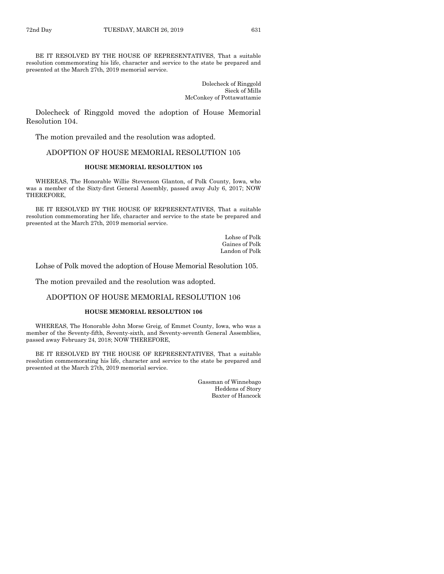BE IT RESOLVED BY THE HOUSE OF REPRESENTATIVES, That a suitable resolution commemorating his life, character and service to the state be prepared and presented at the March 27th, 2019 memorial service.

> Dolecheck of Ringgold Sieck of Mills McConkey of Pottawattamie

Dolecheck of Ringgold moved the adoption of House Memorial Resolution 104.

The motion prevailed and the resolution was adopted.

# ADOPTION OF HOUSE MEMORIAL RESOLUTION 105

#### **HOUSE MEMORIAL RESOLUTION 105**

WHEREAS, The Honorable Willie Stevenson Glanton, of Polk County, Iowa, who was a member of the Sixty-first General Assembly, passed away July 6, 2017; NOW THEREFORE,

BE IT RESOLVED BY THE HOUSE OF REPRESENTATIVES, That a suitable resolution commemorating her life, character and service to the state be prepared and presented at the March 27th, 2019 memorial service.

> Lohse of Polk Gaines of Polk Landon of Polk

Lohse of Polk moved the adoption of House Memorial Resolution 105.

The motion prevailed and the resolution was adopted.

#### ADOPTION OF HOUSE MEMORIAL RESOLUTION 106

#### **HOUSE MEMORIAL RESOLUTION 106**

WHEREAS, The Honorable John Morse Greig, of Emmet County, Iowa, who was a member of the Seventy-fifth, Seventy-sixth, and Seventy-seventh General Assemblies, passed away February 24, 2018; NOW THEREFORE,

BE IT RESOLVED BY THE HOUSE OF REPRESENTATIVES, That a suitable resolution commemorating his life, character and service to the state be prepared and presented at the March 27th, 2019 memorial service.

> Gassman of Winnebago Heddens of Story Baxter of Hancock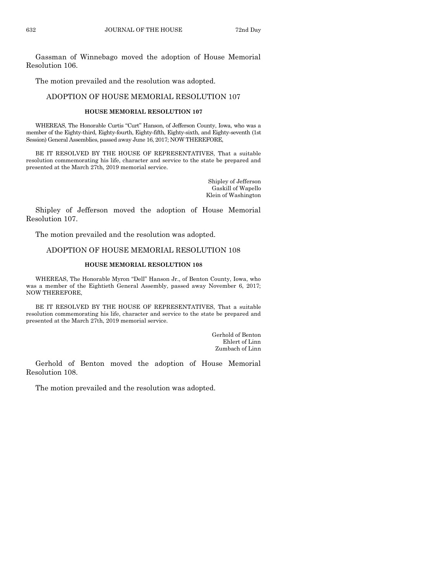Gassman of Winnebago moved the adoption of House Memorial Resolution 106.

The motion prevailed and the resolution was adopted.

#### ADOPTION OF HOUSE MEMORIAL RESOLUTION 107

#### **HOUSE MEMORIAL RESOLUTION 107**

WHEREAS, The Honorable Curtis "Curt" Hanson, of Jefferson County, Iowa, who was a member of the Eighty-third, Eighty-fourth, Eighty-fifth, Eighty-sixth, and Eighty-seventh (1st Session) General Assemblies, passed away June 16, 2017; NOW THEREFORE,

BE IT RESOLVED BY THE HOUSE OF REPRESENTATIVES, That a suitable resolution commemorating his life, character and service to the state be prepared and presented at the March 27th, 2019 memorial service.

> Shipley of Jefferson Gaskill of Wapello Klein of Washington

Shipley of Jefferson moved the adoption of House Memorial Resolution 107.

The motion prevailed and the resolution was adopted.

#### ADOPTION OF HOUSE MEMORIAL RESOLUTION 108

#### **HOUSE MEMORIAL RESOLUTION 108**

WHEREAS, The Honorable Myron "Dell" Hanson Jr., of Benton County, Iowa, who was a member of the Eightieth General Assembly, passed away November 6, 2017; NOW THEREFORE,

BE IT RESOLVED BY THE HOUSE OF REPRESENTATIVES, That a suitable resolution commemorating his life, character and service to the state be prepared and presented at the March 27th, 2019 memorial service.

> Gerhold of Benton Ehlert of Linn Zumbach of Linn

Gerhold of Benton moved the adoption of House Memorial Resolution 108.

The motion prevailed and the resolution was adopted.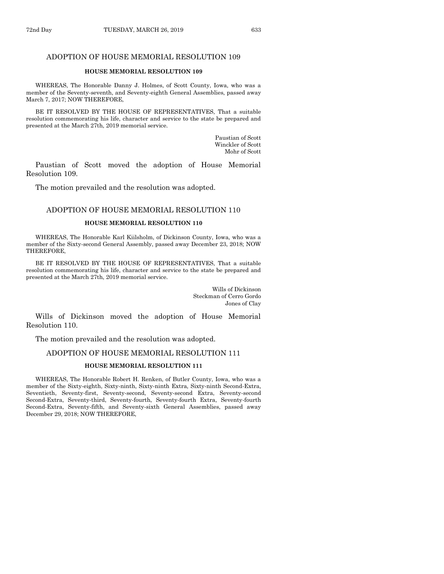## **HOUSE MEMORIAL RESOLUTION 109**

WHEREAS, The Honorable Danny J. Holmes, of Scott County, Iowa, who was a member of the Seventy-seventh, and Seventy-eighth General Assemblies, passed away March 7, 2017; NOW THEREFORE,

BE IT RESOLVED BY THE HOUSE OF REPRESENTATIVES, That a suitable resolution commemorating his life, character and service to the state be prepared and presented at the March 27th, 2019 memorial service.

> Paustian of Scott Winckler of Scott Mohr of Scott

Paustian of Scott moved the adoption of House Memorial Resolution 109.

The motion prevailed and the resolution was adopted.

#### ADOPTION OF HOUSE MEMORIAL RESOLUTION 110

#### **HOUSE MEMORIAL RESOLUTION 110**

WHEREAS, The Honorable Karl Kiilsholm, of Dickinson County, Iowa, who was a member of the Sixty-second General Assembly, passed away December 23, 2018; NOW THEREFORE,

BE IT RESOLVED BY THE HOUSE OF REPRESENTATIVES, That a suitable resolution commemorating his life, character and service to the state be prepared and presented at the March 27th, 2019 memorial service.

> Wills of Dickinson Steckman of Cerro Gordo Jones of Clay

Wills of Dickinson moved the adoption of House Memorial Resolution 110.

The motion prevailed and the resolution was adopted.

#### ADOPTION OF HOUSE MEMORIAL RESOLUTION 111

#### **HOUSE MEMORIAL RESOLUTION 111**

WHEREAS, The Honorable Robert H. Renken, of Butler County, Iowa, who was a member of the Sixty-eighth, Sixty-ninth, Sixty-ninth Extra, Sixty-ninth Second-Extra, Seventieth, Seventy-first, Seventy-second, Seventy-second Extra, Seventy-second Second-Extra, Seventy-third, Seventy-fourth, Seventy-fourth Extra, Seventy-fourth Second-Extra, Seventy-fifth, and Seventy-sixth General Assemblies, passed away December 29, 2018; NOW THEREFORE,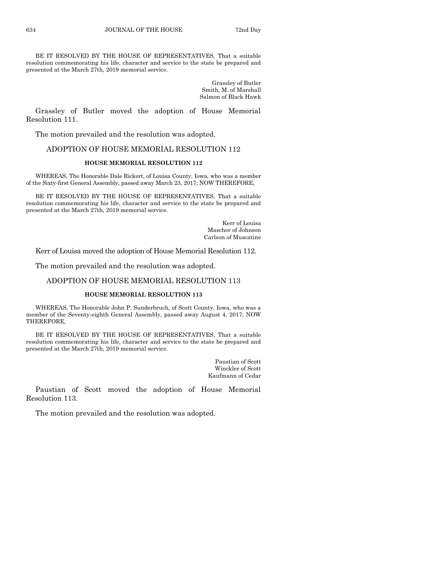BE IT RESOLVED BY THE HOUSE OF REPRESENTATIVES, That a suitable resolution commemorating his life, character and service to the state be prepared and presented at the March 27th, 2019 memorial service.

> Grassley of Butler Smith, M. of Marshall Salmon of Black Hawk

Grassley of Butler moved the adoption of House Memorial Resolution 111.

The motion prevailed and the resolution was adopted.

#### ADOPTION OF HOUSE MEMORIAL RESOLUTION 112

#### **HOUSE MEMORIAL RESOLUTION 112**

WHEREAS, The Honorable Dale Rickert, of Louisa County, Iowa, who was a member of the Sixty-first General Assembly, passed away March 23, 2017; NOW THEREFORE,

BE IT RESOLVED BY THE HOUSE OF REPRESENTATIVES, That a suitable resolution commemorating his life, character and service to the state be prepared and presented at the March 27th, 2019 memorial service.

> Kerr of Louisa Mascher of Johnson Carlson of Muscatine

Kerr of Louisa moved the adoption of House Memorial Resolution 112.

The motion prevailed and the resolution was adopted.

#### ADOPTION OF HOUSE MEMORIAL RESOLUTION 113

#### **HOUSE MEMORIAL RESOLUTION 113**

WHEREAS, The Honorable John P. Sunderbruch, of Scott County, Iowa, who was a member of the Seventy-eighth General Assembly, passed away August 4, 2017; NOW THEREFORE,

BE IT RESOLVED BY THE HOUSE OF REPRESENTATIVES, That a suitable resolution commemorating his life, character and service to the state be prepared and presented at the March 27th, 2019 memorial service.

> Paustian of Scott Winckler of Scott Kaufmann of Cedar

Paustian of Scott moved the adoption of House Memorial Resolution 113.

The motion prevailed and the resolution was adopted.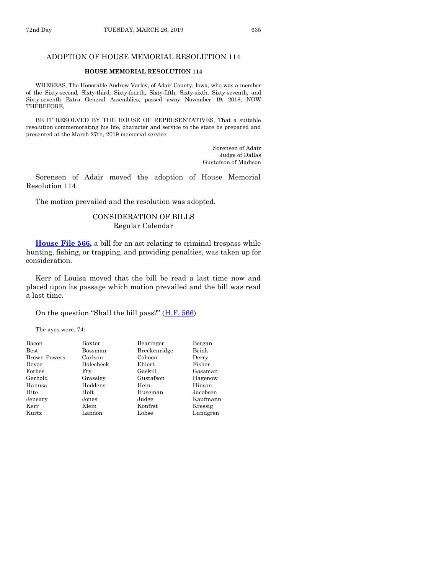#### **HOUSE MEMORIAL RESOLUTION 114**

WHEREAS, The Honorable Andrew Varley, of Adair County, Iowa, who was a member of the Sixty-second, Sixty-third, Sixty-fourth, Sixty-fifth, Sixty-sixth, Sixty-seventh, and Sixty-seventh Extra General Assemblies, passed away November 19, 2018; NOW THEREFORE,

BE IT RESOLVED BY THE HOUSE OF REPRESENTATIVES, That a suitable resolution commemorating his life, character and service to the state be prepared and presented at the March 27th, 2019 memorial service.

> Sorensen of Adair Judge of Dallas Gustafson of Madison

Sorensen of Adair moved the adoption of House Memorial Resolution 114.

The motion prevailed and the resolution was adopted.

# CONSIDERATION OF BILLS Regular Calendar

**[House File 566,](https://www.legis.iowa.gov/legislation/BillBook?ga=88&ba=HF566)** a bill for an act relating to criminal trespass while hunting, fishing, or trapping, and providing penalties, was taken up for consideration.

Kerr of Louisa moved that the bill be read a last time now and placed upon its passage which motion prevailed and the bill was read a last time.

On the question "Shall the bill pass?"  $(H.F. 566)$  $(H.F. 566)$ 

The ayes were, 74:

| Bacon        | Baxter    | Bearinger    | Bergan   |
|--------------|-----------|--------------|----------|
| Best         | Bossman   | Breckenridge | Brink    |
| Brown-Powers | Carlson   | Cohoon       | Derry    |
| Deyoe        | Dolecheck | Ehlert       | Fisher   |
| Forbes       | Frv       | Gaskill      | Gassman  |
| Gerhold      | Grassley  | Gustafson    | Hagenow  |
| Hanusa       | Heddens   | Hein         | Hinson   |
| Hite         | Holt      | Huseman      | Jacobsen |
| Jeneary      | Jones     | Judge        | Kaufmann |
| Kerr         | Klein     | Konfrst      | Kressig  |
| Kurtz        | Landon    | Lohse        | Lundgren |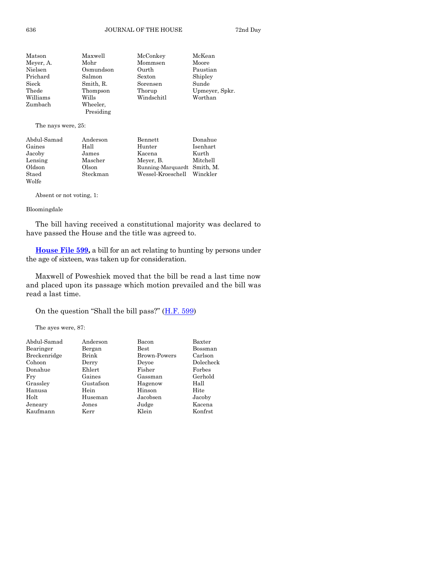| Upmeyer, Spkr. |
|----------------|
|                |
|                |
|                |
|                |

The nays were, 25:

| Abdul-Samad | Anderson | Bennett                     | Donahue  |
|-------------|----------|-----------------------------|----------|
| Gaines      | Hall     | Hunter                      | Isenhart |
| Jacoby      | James    | Kacena                      | Kurth    |
| Lensing     | Mascher  | Meyer, B.                   | Mitchell |
| Oldson      | Olson    | Running-Marquardt Smith, M. |          |
| Staed       | Steckman | Wessel-Kroeschell Winckler  |          |
| Wolfe       |          |                             |          |

Absent or not voting, 1:

#### Bloomingdale

The bill having received a constitutional majority was declared to have passed the House and the title was agreed to.

**[House File 599,](https://www.legis.iowa.gov/legislation/BillBook?ga=88&ba=HF599)** a bill for an act relating to hunting by persons under the age of sixteen, was taken up for consideration.

Maxwell of Poweshiek moved that the bill be read a last time now and placed upon its passage which motion prevailed and the bill was read a last time.

On the question "Shall the bill pass?" ([H.F. 599\)](https://www.legis.iowa.gov/legislation/BillBook?ga=88&ba=HF599)

The ayes were, 87:

| Abdul-Samad  | Anderson  | Bacon               | Baxter    |
|--------------|-----------|---------------------|-----------|
| Bearinger    | Bergan    | $_{\rm Best}$       | Bossman   |
| Breckenridge | Brink     | <b>Brown-Powers</b> | Carlson   |
| Cohoon       | Derry     | Devoe               | Dolecheck |
| Donahue      | Ehlert    | Fisher              | Forbes    |
| Fry          | Gaines    | Gassman             | Gerhold   |
| Grassley     | Gustafson | Hagenow             | Hall      |
| Hanusa       | Hein      | Hinson              | Hite      |
| Holt         | Huseman   | Jacobsen            | Jacoby    |
| Jeneary      | Jones     | Judge               | Kacena    |
| Kaufmann     | Kerr      | Klein               | Konfrst   |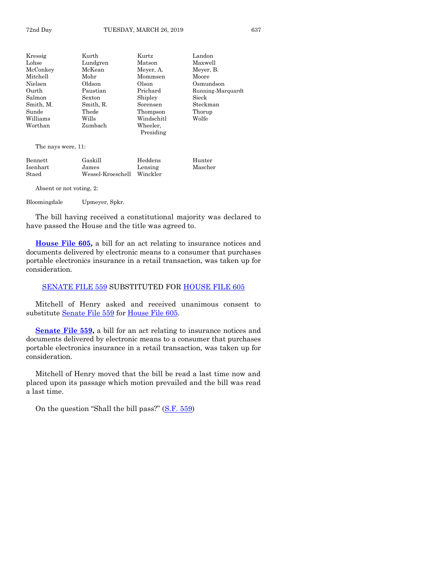| Kressig   | Kurth     | Kurtz      | Landon            |
|-----------|-----------|------------|-------------------|
| Lohse     | Lundgren  | Matson     | Maxwell           |
| McConkey  | McKean    | Meyer, A.  | Meyer, B.         |
| Mitchell  | Mohr      | Mommsen    | Moore             |
| Nielsen   | Oldson    | Olson      | Osmundson         |
| Ourth     | Paustian  | Prichard   | Running-Marquardt |
| Salmon    | Sexton    | Shipley    | Sieck             |
| Smith, M. | Smith, R. | Sorensen   | Steckman          |
| Sunde     | Thede     | Thompson   | Thorup            |
| Williams  | Wills     | Windschitl | Wolfe             |
| Worthan   | Zumbach   | Wheeler,   |                   |
|           |           | Presiding  |                   |

The nays were, 11:

| Bennett                | Gaskill           | Heddens  | Hunter  |
|------------------------|-------------------|----------|---------|
| Isenhart               | James             | Lensing  | Mascher |
| $\operatorname{Staed}$ | Wessel-Kroeschell | Winckler |         |

Absent or not voting, 2:

Bloomingdale Upmeyer, Spkr.

The bill having received a constitutional majority was declared to have passed the House and the title was agreed to.

**[House File 605,](https://www.legis.iowa.gov/legislation/BillBook?ga=88&ba=HF605)** a bill for an act relating to insurance notices and documents delivered by electronic means to a consumer that purchases portable electronics insurance in a retail transaction, was taken up for consideration.

# [SENATE FILE 559](https://www.legis.iowa.gov/legislation/BillBook?ga=88&ba=SF559) SUBSTITUTED FOR [HOUSE FILE 605](https://www.legis.iowa.gov/legislation/BillBook?ga=88&ba=HF605)

Mitchell of Henry asked and received unanimous consent to substitute [Senate File 559](https://www.legis.iowa.gov/legislation/BillBook?ga=88&ba=SF559) for [House File 605.](https://www.legis.iowa.gov/legislation/BillBook?ga=88&ba=HF605)

**[Senate File 559,](https://www.legis.iowa.gov/legislation/BillBook?ga=88&ba=SF559)** a bill for an act relating to insurance notices and documents delivered by electronic means to a consumer that purchases portable electronics insurance in a retail transaction, was taken up for consideration.

Mitchell of Henry moved that the bill be read a last time now and placed upon its passage which motion prevailed and the bill was read a last time.

On the question "Shall the bill pass?" ([S.F. 559\)](https://www.legis.iowa.gov/legislation/BillBook?ga=88&ba=SF559)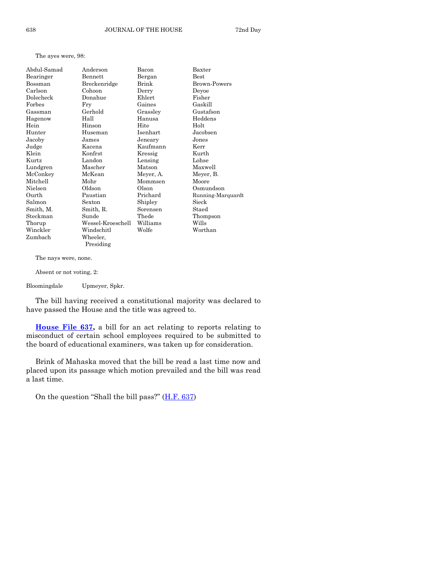The ayes were, 98:

| Abdul-Samad | Anderson          | Bacon     | Baxter            |
|-------------|-------------------|-----------|-------------------|
| Bearinger   | Bennett           | Bergan    | <b>Best</b>       |
| Bossman     | Breckenridge      | Brink     | Brown-Powers      |
| Carlson     | Cohoon            | Derry     | Deyoe             |
| Dolecheck   | Donahue           | Ehlert    | Fisher            |
| Forbes      | Fry               | Gaines    | Gaskill           |
| Gassman     | Gerhold           | Grassley  | Gustafson         |
| Hagenow     | Hall              | Hanusa    | Heddens           |
| Hein        | Hinson            | Hite      | Holt              |
| Hunter      | Huseman           | Isenhart  | Jacobsen          |
| Jacoby      | James             | Jeneary   | Jones             |
| Judge       | Kacena            | Kaufmann  | Kerr              |
| Klein       | Konfrst           | Kressig   | Kurth             |
| Kurtz       | Landon            | Lensing   | Lohse             |
| Lundgren    | Mascher           | Matson    | Maxwell           |
| McConkey    | McKean            | Meyer, A. | Meyer, B.         |
| Mitchell    | Mohr              | Mommsen   | Moore             |
| Nielsen     | Oldson            | Olson     | Osmundson         |
| Ourth       | Paustian          | Prichard  | Running-Marquardt |
| Salmon      | Sexton            | Shipley   | Sieck             |
| Smith, M.   | Smith, R.         | Sorensen  | Staed             |
| Steckman    | Sunde             | Thede     | Thompson          |
| Thorup      | Wessel-Kroeschell | Williams  | Wills             |
| Winckler    | Windschitl        | Wolfe     | Worthan           |
| Zumbach     | Wheeler,          |           |                   |
|             | Presiding         |           |                   |

The nays were, none.

Absent or not voting, 2:

Bloomingdale Upmeyer, Spkr.

The bill having received a constitutional majority was declared to have passed the House and the title was agreed to.

**[House File 637,](https://www.legis.iowa.gov/legislation/BillBook?ga=88&ba=HF637)** a bill for an act relating to reports relating to misconduct of certain school employees required to be submitted to the board of educational examiners, was taken up for consideration.

Brink of Mahaska moved that the bill be read a last time now and placed upon its passage which motion prevailed and the bill was read a last time.

On the question "Shall the bill pass?"  $(H.F. 637)$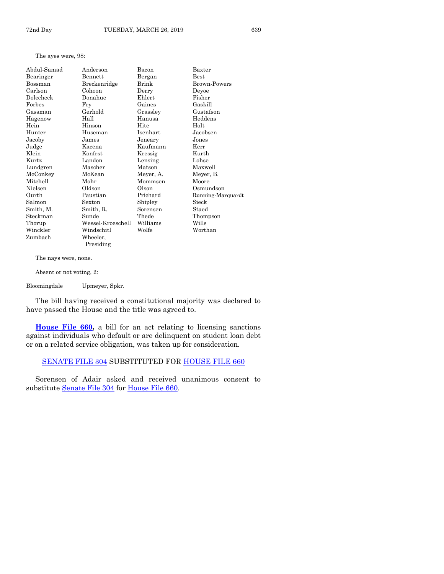#### The ayes were, 98:

| Abdul-Samad | Anderson          | Bacon     | Baxter            |
|-------------|-------------------|-----------|-------------------|
| Bearinger   | Bennett           | Bergan    | Best              |
| Bossman     | Breckenridge      | Brink     | Brown-Powers      |
| Carlson     | Cohoon            | Derry     | Deyoe             |
| Dolecheck   | Donahue           | Ehlert    | Fisher            |
| Forbes      | Fry               | Gaines    | Gaskill           |
| Gassman     | Gerhold           | Grassley  | Gustafson         |
| Hagenow     | Hall              | Hanusa    | Heddens           |
| Hein        | Hinson            | Hite      | Holt              |
| Hunter      | Huseman           | Isenhart  | Jacobsen          |
| Jacoby      | James             | Jeneary   | Jones             |
| Judge       | Kacena            | Kaufmann  | Kerr              |
| Klein       | Konfrst           | Kressig   | Kurth             |
| Kurtz       | Landon            | Lensing   | Lohse             |
| Lundgren    | Mascher           | Matson    | Maxwell           |
| McConkey    | McKean            | Meyer, A. | Meyer, B.         |
| Mitchell    | Mohr              | Mommsen   | Moore             |
| Nielsen     | Oldson            | Olson     | Osmundson         |
| Ourth       | Paustian          | Prichard  | Running-Marquardt |
| Salmon      | Sexton            | Shipley   | Sieck             |
| Smith, M.   | Smith, R.         | Sorensen  | Staed             |
| Steckman    | Sunde             | Thede     | Thompson          |
| Thorup      | Wessel-Kroeschell | Williams  | Wills             |
| Winckler    | Windschitl        | Wolfe     | Worthan           |
| Zumbach     | Wheeler,          |           |                   |
|             | Presiding         |           |                   |

The nays were, none.

Absent or not voting, 2:

Bloomingdale Upmeyer, Spkr.

The bill having received a constitutional majority was declared to have passed the House and the title was agreed to.

**[House File 660,](https://www.legis.iowa.gov/legislation/BillBook?ga=88&ba=HF660)** a bill for an act relating to licensing sanctions against individuals who default or are delinquent on student loan debt or on a related service obligation, was taken up for consideration.

### [SENATE FILE 304](https://www.legis.iowa.gov/legislation/BillBook?ga=88&ba=SF304) SUBSTITUTED FOR [HOUSE FILE 660](https://www.legis.iowa.gov/legislation/BillBook?ga=88&ba=HF660)

Sorensen of Adair asked and received unanimous consent to substitute [Senate File 304](https://www.legis.iowa.gov/legislation/BillBook?ga=88&ba=SF304) for [House File 660.](https://www.legis.iowa.gov/legislation/BillBook?ga=88&ba=HF660)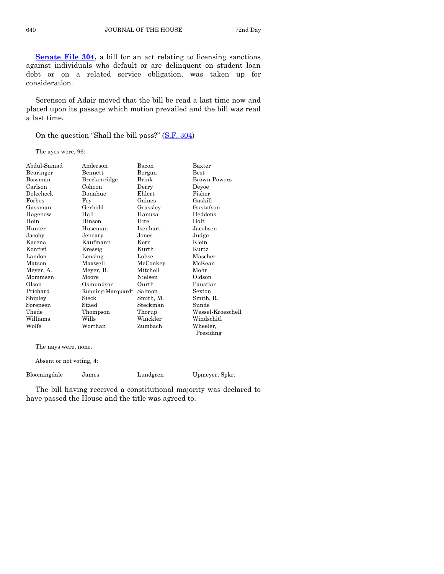**[Senate File 304,](https://www.legis.iowa.gov/legislation/BillBook?ga=88&ba=SF304)** a bill for an act relating to licensing sanctions against individuals who default or are delinquent on student loan debt or on a related service obligation, was taken up for consideration.

Sorensen of Adair moved that the bill be read a last time now and placed upon its passage which motion prevailed and the bill was read a last time.

On the question "Shall the bill pass?" ([S.F. 304\)](https://www.legis.iowa.gov/legislation/BillBook?ga=88&ba=SF304)

The ayes were, 96:

| Abdul-Samad | Anderson          | Bacon     | Baxter              |
|-------------|-------------------|-----------|---------------------|
| Bearinger   | Bennett           | Bergan    | $_{\rm Best}$       |
| Bossman     | Breckenridge      | Brink     | <b>Brown-Powers</b> |
| Carlson     | Cohoon            | Derry     | Deyoe               |
| Dolecheck   | Donahue           | Ehlert    | Fisher              |
| Forbes      | Fry               | Gaines    | Gaskill             |
| Gassman     | Gerhold           | Grassley  | Gustafson           |
| Hagenow     | Hall              | Hanusa    | Heddens             |
| Hein        | Hinson            | Hite      | Holt                |
| Hunter      | Huseman           | Isenhart  | Jacobsen            |
| Jacoby      | Jeneary           | Jones     | Judge               |
| Kacena      | Kaufmann          | Kerr      | Klein               |
| Konfrst     | Kressig           | Kurth     | Kurtz               |
| Landon      | Lensing           | Lohse     | Mascher             |
| Matson      | Maxwell           | McConkey  | McKean              |
| Meyer, A.   | Meyer, B.         | Mitchell  | Mohr                |
| Mommsen     | Moore             | Nielsen   | Oldson              |
| Olson       | Osmundson         | Ourth     | Paustian            |
| Prichard    | Running-Marquardt | Salmon    | Sexton              |
| Shipley     | Sieck             | Smith, M. | Smith, R.           |
| Sorensen    | Staed             | Steckman  | Sunde               |
| Thede       | Thompson          | Thorup    | Wessel-Kroeschell   |
| Williams    | Wills             | Winckler  | Windschitl          |
| Wolfe       | Worthan           | Zumbach   | Wheeler,            |
|             |                   |           | Presiding           |

The nays were, none.

Absent or not voting, 4:

Bloomingdale James Lundgren Upmeyer, Spkr.

The bill having received a constitutional majority was declared to have passed the House and the title was agreed to.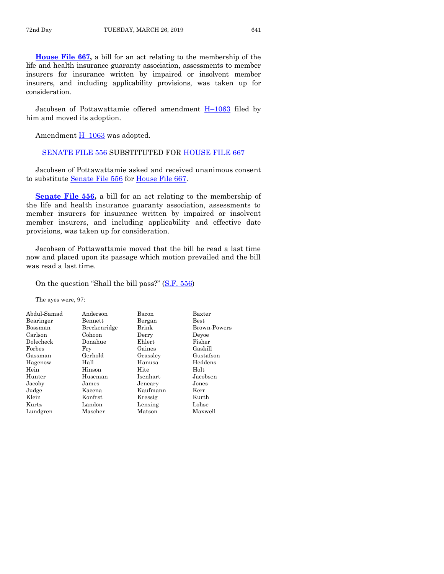**[House File 667,](https://www.legis.iowa.gov/legislation/BillBook?ga=88&ba=HF667)** a bill for an act relating to the membership of the life and health insurance guaranty association, assessments to member insurers for insurance written by impaired or insolvent member insurers, and including applicability provisions, was taken up for consideration.

Jacobsen of Pottawattamie offered amendment H–[1063](https://www.legis.iowa.gov/legislation/BillBook?ga=88&ba=H1063) filed by him and moved its adoption.

Amendment **H**-[1063](https://www.legis.iowa.gov/legislation/BillBook?ga=88&ba=H1063) was adopted.

#### [SENATE FILE 556](https://www.legis.iowa.gov/legislation/BillBook?ga=88&ba=SF556) SUBSTITUTED FOR [HOUSE FILE 667](https://www.legis.iowa.gov/legislation/BillBook?ga=88&ba=HF667)

Jacobsen of Pottawattamie asked and received unanimous consent to substitute [Senate File 556](https://www.legis.iowa.gov/legislation/BillBook?ga=88&ba=SF556) for [House File 667.](https://www.legis.iowa.gov/legislation/BillBook?ga=88&ba=HF667)

**[Senate File 556,](https://www.legis.iowa.gov/legislation/BillBook?ga=88&ba=SF556)** a bill for an act relating to the membership of the life and health insurance guaranty association, assessments to member insurers for insurance written by impaired or insolvent member insurers, and including applicability and effective date provisions, was taken up for consideration.

Jacobsen of Pottawattamie moved that the bill be read a last time now and placed upon its passage which motion prevailed and the bill was read a last time.

On the question "Shall the bill pass?" [\(S.F. 556\)](https://www.legis.iowa.gov/legislation/BillBook?ga=88&ba=SF556)

The ayes were, 97:

| Abdul-Samad | Anderson     | Bacon    | Baxter       |
|-------------|--------------|----------|--------------|
| Bearinger   | Bennett      | Bergan   | Best         |
| Bossman     | Breckenridge | Brink    | Brown-Powers |
| Carlson     | Cohoon       | Derry    | Devoe        |
| Dolecheck   | Donahue      | Ehlert   | Fisher       |
| Forbes      | Frv          | Gaines   | Gaskill      |
| Gassman     | Gerhold      | Grassley | Gustafson    |
| Hagenow     | Hall         | Hanusa   | Heddens      |
| Hein        | Hinson       | Hite     | Holt         |
| Hunter      | Huseman      | Isenhart | Jacobsen     |
| Jacoby      | James        | Jeneary  | Jones        |
| Judge       | Kacena       | Kaufmann | Kerr         |
| Klein       | Konfrst      | Kressig  | Kurth        |
| Kurtz       | Landon       | Lensing  | Lohse        |
| Lundgren    | Mascher      | Matson   | Maxwell      |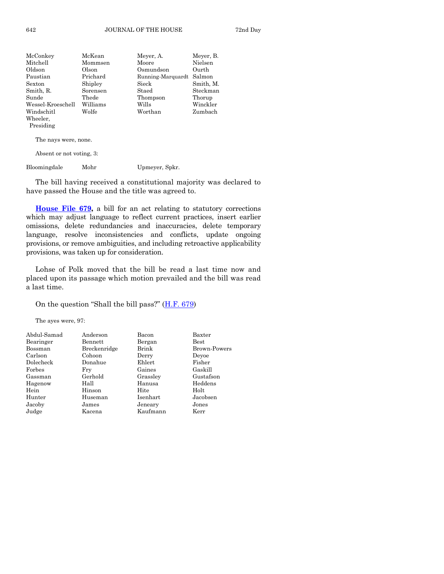| McConkey          | McKean   | Meyer, A.                | Meyer, B. |
|-------------------|----------|--------------------------|-----------|
| Mitchell          | Mommsen  | Moore                    | Nielsen   |
| Oldson            | Olson    | Osmundson                | Ourth     |
| Paustian          | Prichard | Running-Marquardt Salmon |           |
| Sexton            | Shipley  | Sieck                    | Smith, M. |
| Smith, R.         | Sorensen | Staed                    | Steckman  |
| Sunde             | Thede    | Thompson                 | Thorup    |
| Wessel-Kroeschell | Williams | Wills                    | Winckler  |
| Windschitl        | Wolfe    | Worthan                  | Zumbach   |
| Wheeler,          |          |                          |           |
| Presiding         |          |                          |           |

The nays were, none.

Absent or not voting, 3:

Bloomingdale Mohr Upmeyer, Spkr.

The bill having received a constitutional majority was declared to have passed the House and the title was agreed to.

**[House File 679,](https://www.legis.iowa.gov/legislation/BillBook?ga=88&ba=HF679)** a bill for an act relating to statutory corrections which may adjust language to reflect current practices, insert earlier omissions, delete redundancies and inaccuracies, delete temporary language, resolve inconsistencies and conflicts, update ongoing provisions, or remove ambiguities, and including retroactive applicability provisions, was taken up for consideration.

Lohse of Polk moved that the bill be read a last time now and placed upon its passage which motion prevailed and the bill was read a last time.

On the question "Shall the bill pass?" [\(H.F. 679\)](https://www.legis.iowa.gov/legislation/BillBook?ga=88&ba=HF679)

The ayes were, 97:

| Abdul-Samad | Anderson     | Bacon    | Baxter        |
|-------------|--------------|----------|---------------|
| Bearinger   | Bennett      | Bergan   | $_{\rm Best}$ |
| Bossman     | Breckenridge | Brink    | Brown-Powers  |
| Carlson     | Cohoon       | Derry    | Devoe         |
| Dolecheck   | Donahue      | Ehlert   | Fisher        |
| Forbes      | Fry          | Gaines   | Gaskill       |
| Gassman     | Gerhold      | Grassley | Gustafson     |
| Hagenow     | Hall         | Hanusa   | Heddens       |
| Hein        | Hinson       | Hite     | Holt          |
| Hunter      | Huseman      | Isenhart | Jacobsen      |
| Jacoby      | James        | Jeneary  | Jones         |
| Judge       | Kacena       | Kaufmann | Kerr          |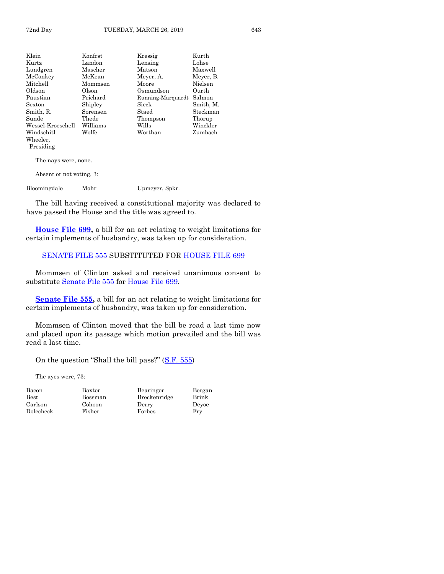| Klein             | Konfrst  | Kressig           | Kurth     |
|-------------------|----------|-------------------|-----------|
| Kurtz             | Landon   | Lensing           | Lohse     |
| Lundgren          | Mascher  | Matson            | Maxwell   |
| McConkey          | McKean   | Meyer, A.         | Meyer, B. |
| Mitchell          | Mommsen  | Moore             | Nielsen   |
| Oldson            | Olson    | Osmundson         | Ourth     |
| Paustian          | Prichard | Running-Marquardt | Salmon    |
| $S$ exton         | Shipley  | Sieck             | Smith, M. |
| Smith, R.         | Sorensen | Staed             | Steckman  |
| Sunde             | Thede    | Thompson          | Thorup    |
| Wessel-Kroeschell | Williams | Wills             | Winckler  |
| Windschitl        | Wolfe    | Worthan           | Zumbach   |
| Wheeler,          |          |                   |           |
| Presiding         |          |                   |           |

The nays were, none.

Absent or not voting, 3:

Bloomingdale Mohr Upmeyer, Spkr.

The bill having received a constitutional majority was declared to have passed the House and the title was agreed to.

**[House File 699,](https://www.legis.iowa.gov/legislation/BillBook?ga=88&ba=HF699)** a bill for an act relating to weight limitations for certain implements of husbandry, was taken up for consideration.

# [SENATE FILE 555](https://www.legis.iowa.gov/legislation/BillBook?ga=88&ba=SF555) SUBSTITUTED FOR [HOUSE FILE 699](https://www.legis.iowa.gov/legislation/BillBook?ga=88&ba=HF699)

Mommsen of Clinton asked and received unanimous consent to substitute [Senate File 555](https://www.legis.iowa.gov/legislation/BillBook?ga=88&ba=SF555) for [House File 699.](https://www.legis.iowa.gov/legislation/BillBook?ga=88&ba=HF699)

**[Senate File 555,](https://www.legis.iowa.gov/legislation/BillBook?ga=88&ba=SF555)** a bill for an act relating to weight limitations for certain implements of husbandry, was taken up for consideration.

Mommsen of Clinton moved that the bill be read a last time now and placed upon its passage which motion prevailed and the bill was read a last time.

Bergan

On the question "Shall the bill pass?"  $(S.F. 555)$  $(S.F. 555)$ 

The ayes were, 73:

| Bacon     | Baxter  | Bearinger    | Berga |
|-----------|---------|--------------|-------|
| Best      | Bossman | Breckenridge | Brink |
| Carlson   | Cohoon  | Derry        | Devoe |
| Dolecheck | Fisher  | Forbes       | Frv   |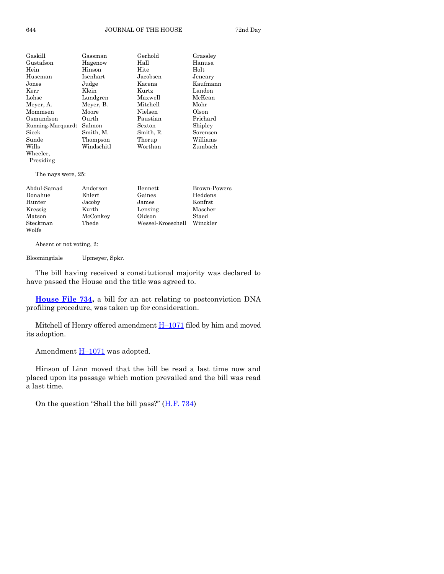| Gaskill                     | Gerhold<br>Gassman |           | Grassley            |  |
|-----------------------------|--------------------|-----------|---------------------|--|
| Gustafson                   | Hagenow            | Hall      | Hanusa              |  |
| Hein                        | Hinson             | Hite      | Holt                |  |
| Huseman                     | Isenhart           | Jacobsen  | Jeneary             |  |
| ${\rm Jones}$               | Judge              | Kacena    | Kaufmann            |  |
| Kerr                        | Klein              | Kurtz     | Landon              |  |
| $_{\rm Lohse}$              | Lundgren           | Maxwell   | McKean              |  |
| Meyer, A.                   | Meyer, B.          | Mitchell  | Mohr                |  |
| Mommsen                     | Moore              | Nielsen   | Olson               |  |
| Osmundson                   | Ourth              | Paustian  | Prichard            |  |
| Running-Marquardt           | Salmon             | Sexton    | Shipley             |  |
| $_{\rm{Sieck}}$             | Smith, M.          | Smith, R. | Sorensen            |  |
| Sunde                       | Thompson           | Thorup    | Williams            |  |
| Wills                       | Windschitl         | Worthan   | Zumbach             |  |
| Wheeler,                    |                    |           |                     |  |
| Presiding                   |                    |           |                     |  |
| The nays were, 25:          |                    |           |                     |  |
| Abdul-Samad                 | Anderson           | Bennett   | <b>Brown-Powers</b> |  |
| Donahue<br>Gaines<br>Ehlert |                    |           | Heddens             |  |

| Donahue  | Ehlert   | Gaines            | Heddens  |
|----------|----------|-------------------|----------|
| Hunter   | Jacoby   | James             | Konfrst  |
| Kressig  | Kurth    | Lensing           | Mascher  |
| Matson   | McConkey | Oldson            | Staed    |
| Steckman | Thede    | Wessel-Kroeschell | Winckler |
| Wolfe    |          |                   |          |

Absent or not voting, 2:

Bloomingdale Upmeyer, Spkr.

The bill having received a constitutional majority was declared to have passed the House and the title was agreed to.

**[House File 734,](https://www.legis.iowa.gov/legislation/BillBook?ga=88&ba=HF734)** a bill for an act relating to postconviction DNA profiling procedure, was taken up for consideration.

Mitchell of Henry offered amendment **H**–[1071](https://www.legis.iowa.gov/legislation/BillBook?ga=88&ba=H1071) filed by him and moved its adoption.

Amendment  $H-1071$  $H-1071$  was adopted.

Hinson of Linn moved that the bill be read a last time now and placed upon its passage which motion prevailed and the bill was read a last time.

On the question "Shall the bill pass?"  $(H.F. 734)$  $(H.F. 734)$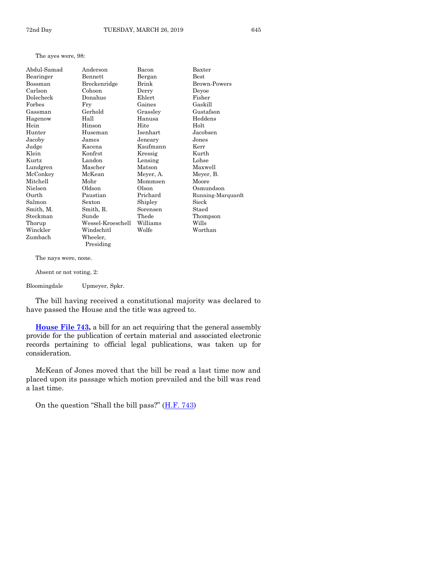#### The ayes were, 98:

| Abdul-Samad | Anderson          | Bacon     | Baxter              |
|-------------|-------------------|-----------|---------------------|
| Bearinger   | Bennett           | Bergan    | Best                |
| Bossman     | Breckenridge      | Brink     | <b>Brown-Powers</b> |
| Carlson     | Cohoon            | Derry     | Deyoe               |
| Dolecheck   | Donahue           | Ehlert    | Fisher              |
| Forbes      | Fry               | Gaines    | Gaskill             |
| Gassman     | Gerhold           | Grassley  | Gustafson           |
| Hagenow     | Hall              | Hanusa    | Heddens             |
| Hein        | Hinson            | Hite      | Holt                |
| Hunter      | Huseman           | Isenhart  | Jacobsen            |
| Jacoby      | James             | Jeneary   | Jones               |
| Judge       | Kacena            | Kaufmann  | Kerr                |
| Klein       | Konfrst           | Kressig   | Kurth               |
| Kurtz       | Landon            | Lensing   | Lohse               |
| Lundgren    | Mascher           | Matson    | Maxwell             |
| McConkey    | McKean            | Meyer, A. | Meyer, B.           |
| Mitchell    | Mohr              | Mommsen   | Moore               |
| Nielsen     | Oldson            | Olson     | Osmundson           |
| Ourth       | Paustian          | Prichard  | Running-Marquardt   |
| Salmon      | Sexton            | Shipley   | Sieck               |
| Smith, M.   | Smith, R.         | Sorensen  | Staed               |
| Steckman    | Sunde             | Thede     | Thompson            |
| Thorup      | Wessel-Kroeschell | Williams  | Wills               |
| Winckler    | Windschitl        | Wolfe     | Worthan             |
| Zumbach     | Wheeler,          |           |                     |
|             | Presiding         |           |                     |

The nays were, none.

Absent or not voting, 2:

Bloomingdale Upmeyer, Spkr.

The bill having received a constitutional majority was declared to have passed the House and the title was agreed to.

**[House File 743,](https://www.legis.iowa.gov/legislation/BillBook?ga=88&ba=HF743)** a bill for an act requiring that the general assembly provide for the publication of certain material and associated electronic records pertaining to official legal publications, was taken up for consideration.

McKean of Jones moved that the bill be read a last time now and placed upon its passage which motion prevailed and the bill was read a last time.

On the question "Shall the bill pass?" ([H.F. 743\)](https://www.legis.iowa.gov/legislation/BillBook?ga=88&ba=HF743)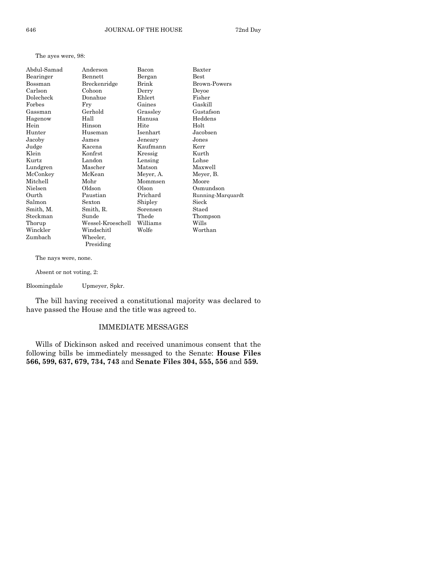The ayes were, 98:

| Abdul-Samad | Anderson          | Bacon     | Baxter            |
|-------------|-------------------|-----------|-------------------|
| Bearinger   | <b>Bennett</b>    | Bergan    | Best              |
| Bossman     | Breckenridge      | Brink     | Brown-Powers      |
| Carlson     | Cohoon            | Derry     | Deyoe             |
| Dolecheck   | Donahue           | Ehlert    | Fisher            |
| Forbes      | Fry               | Gaines    | Gaskill           |
| Gassman     | Gerhold           | Grassley  | Gustafson         |
| Hagenow     | Hall              | Hanusa    | Heddens           |
| Hein        | Hinson            | Hite      | Holt              |
| Hunter      | Huseman           | Isenhart  | Jacobsen          |
| Jacoby      | James             | Jeneary   | Jones             |
| Judge       | Kacena            | Kaufmann  | Kerr              |
| Klein       | Konfrst           | Kressig   | Kurth             |
| Kurtz       | Landon            | Lensing   | Lohse             |
| Lundgren    | Mascher           | Matson    | Maxwell           |
| McConkey    | McKean            | Meyer, A. | Meyer, B.         |
| Mitchell    | Mohr              | Mommsen   | Moore             |
| Nielsen     | Oldson            | Olson     | Osmundson         |
| Ourth       | Paustian          | Prichard  | Running-Marquardt |
| Salmon      | Sexton            | Shipley   | Sieck             |
| Smith, M.   | Smith, R.         | Sorensen  | Staed             |
| Steckman    | Sunde             | Thede     | Thompson          |
| Thorup      | Wessel-Kroeschell | Williams  | Wills             |
| Winckler    | Windschitl        | Wolfe     | Worthan           |
| Zumbach     | Wheeler,          |           |                   |
|             | Presiding         |           |                   |

The nays were, none.

Absent or not voting, 2:

Bloomingdale Upmeyer, Spkr.

The bill having received a constitutional majority was declared to have passed the House and the title was agreed to.

### IMMEDIATE MESSAGES

Wills of Dickinson asked and received unanimous consent that the following bills be immediately messaged to the Senate: **House Files 566, 599, 637, 679, 734, 743** and **Senate Files 304, 555, 556** and **559.**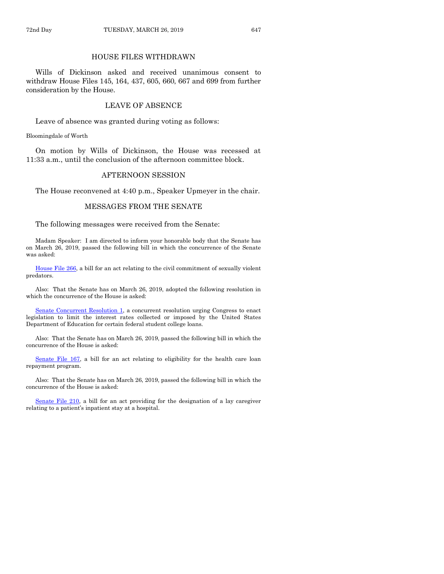# HOUSE FILES WITHDRAWN

Wills of Dickinson asked and received unanimous consent to withdraw House Files 145, 164, 437, 605, 660, 667 and 699 from further consideration by the House.

#### LEAVE OF ABSENCE

Leave of absence was granted during voting as follows:

Bloomingdale of Worth

On motion by Wills of Dickinson, the House was recessed at 11:33 a.m., until the conclusion of the afternoon committee block.

# AFTERNOON SESSION

The House reconvened at 4:40 p.m., Speaker Upmeyer in the chair.

#### MESSAGES FROM THE SENATE

The following messages were received from the Senate:

Madam Speaker: I am directed to inform your honorable body that the Senate has on March 26, 2019, passed the following bill in which the concurrence of the Senate was asked:

[House File 266,](https://www.legis.iowa.gov/legislation/BillBook?ga=88&ba=HF266) a bill for an act relating to the civil commitment of sexually violent predators.

Also: That the Senate has on March 26, 2019, adopted the following resolution in which the concurrence of the House is asked:

[Senate Concurrent Resolution 1,](https://www.legis.iowa.gov/legislation/BillBook?ga=88&ba=SCR1) a concurrent resolution urging Congress to enact legislation to limit the interest rates collected or imposed by the United States Department of Education for certain federal student college loans.

Also: That the Senate has on March 26, 2019, passed the following bill in which the concurrence of the House is asked:

[Senate File 167,](https://www.legis.iowa.gov/legislation/BillBook?ga=88&ba=SF167) a bill for an act relating to eligibility for the health care loan repayment program.

Also: That the Senate has on March 26, 2019, passed the following bill in which the concurrence of the House is asked:

[Senate File 210,](https://www.legis.iowa.gov/legislation/BillBook?ga=88&ba=SF210) a bill for an act providing for the designation of a lay caregiver relating to a patient's inpatient stay at a hospital.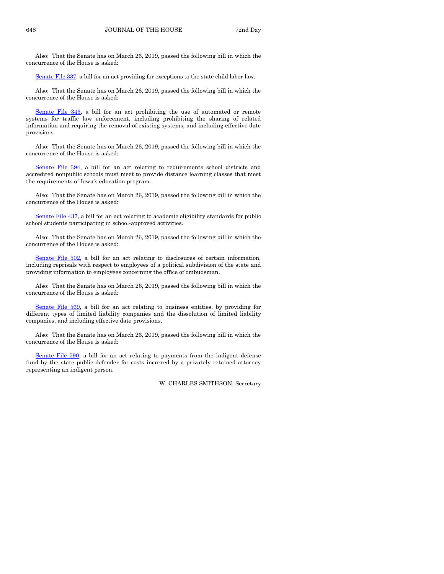Also: That the Senate has on March 26, 2019, passed the following bill in which the concurrence of the House is asked:

[Senate File 337,](https://www.legis.iowa.gov/legislation/BillBook?ga=88&ba=SF337) a bill for an act providing for exceptions to the state child labor law.

Also: That the Senate has on March 26, 2019, passed the following bill in which the concurrence of the House is asked:

[Senate File 343,](https://www.legis.iowa.gov/legislation/BillBook?ga=88&ba=SF343) a bill for an act prohibiting the use of automated or remote systems for traffic law enforcement, including prohibiting the sharing of related information and requiring the removal of existing systems, and including effective date provisions.

Also: That the Senate has on March 26, 2019, passed the following bill in which the concurrence of the House is asked:

[Senate File 394,](https://www.legis.iowa.gov/legislation/BillBook?ga=88&ba=SF394) a bill for an act relating to requirements school districts and accredited nonpublic schools must meet to provide distance learning classes that meet the requirements of Iowa's education program.

Also: That the Senate has on March 26, 2019, passed the following bill in which the concurrence of the House is asked:

[Senate File 437,](https://www.legis.iowa.gov/legislation/BillBook?ga=88&ba=SF437) a bill for an act relating to academic eligibility standards for public school students participating in school-approved activities.

Also: That the Senate has on March 26, 2019, passed the following bill in which the concurrence of the House is asked:

[Senate File 502,](https://www.legis.iowa.gov/legislation/BillBook?ga=88&ba=SF502) a bill for an act relating to disclosures of certain information, including reprisals with respect to employees of a political subdivision of the state and providing information to employees concerning the office of ombudsman.

Also: That the Senate has on March 26, 2019, passed the following bill in which the concurrence of the House is asked:

[Senate File 569,](https://www.legis.iowa.gov/legislation/BillBook?ga=88&ba=SF569) a bill for an act relating to business entities, by providing for different types of limited liability companies and the dissolution of limited liability companies, and including effective date provisions.

Also: That the Senate has on March 26, 2019, passed the following bill in which the concurrence of the House is asked:

[Senate File 590,](https://www.legis.iowa.gov/legislation/BillBook?ga=88&ba=SF590) a bill for an act relating to payments from the indigent defense fund by the state public defender for costs incurred by a privately retained attorney representing an indigent person.

W. CHARLES SMITHSON, Secretary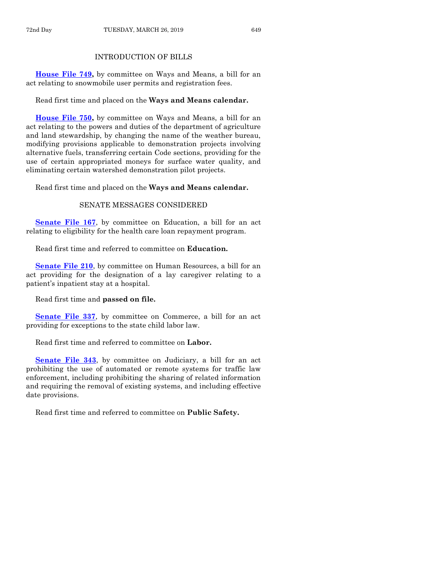# INTRODUCTION OF BILLS

**[House File 749,](https://www.legis.iowa.gov/legislation/BillBook?ga=88&ba=HF749)** by committee on Ways and Means, a bill for an act relating to snowmobile user permits and registration fees.

Read first time and placed on the **Ways and Means calendar.**

**[House File 750,](https://www.legis.iowa.gov/legislation/BillBook?ga=88&ba=HF750)** by committee on Ways and Means, a bill for an act relating to the powers and duties of the department of agriculture and land stewardship, by changing the name of the weather bureau, modifying provisions applicable to demonstration projects involving alternative fuels, transferring certain Code sections, providing for the use of certain appropriated moneys for surface water quality, and eliminating certain watershed demonstration pilot projects.

Read first time and placed on the **Ways and Means calendar.**

# SENATE MESSAGES CONSIDERED

**[Senate File 167](https://www.legis.iowa.gov/legislation/BillBook?ga=88&ba=SF167)**, by committee on Education, a bill for an act relating to eligibility for the health care loan repayment program.

Read first time and referred to committee on **Education.**

**[Senate File 210](https://www.legis.iowa.gov/legislation/BillBook?ga=88&ba=SF210)**, by committee on Human Resources, a bill for an act providing for the designation of a lay caregiver relating to a patient's inpatient stay at a hospital.

Read first time and **passed on file.**

**[Senate File 337](https://www.legis.iowa.gov/legislation/BillBook?ga=88&ba=SF337)**, by committee on Commerce, a bill for an act providing for exceptions to the state child labor law.

Read first time and referred to committee on **Labor.**

**[Senate File 343](https://www.legis.iowa.gov/legislation/BillBook?ga=88&ba=SF343)**, by committee on Judiciary, a bill for an act prohibiting the use of automated or remote systems for traffic law enforcement, including prohibiting the sharing of related information and requiring the removal of existing systems, and including effective date provisions.

Read first time and referred to committee on **Public Safety.**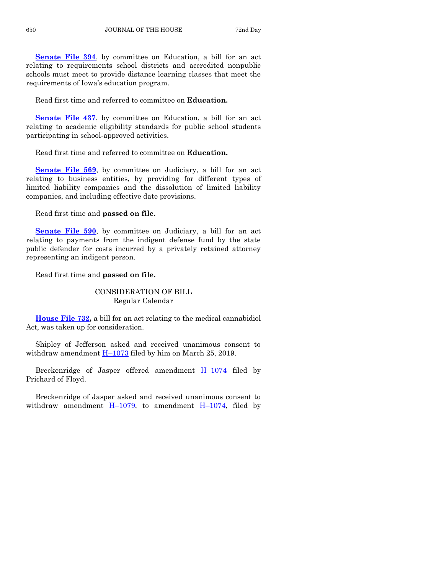**[Senate File 394](https://www.legis.iowa.gov/legislation/BillBook?ga=88&ba=SF394)**, by committee on Education, a bill for an act relating to requirements school districts and accredited nonpublic schools must meet to provide distance learning classes that meet the requirements of Iowa's education program.

Read first time and referred to committee on **Education.**

**[Senate File 437](https://www.legis.iowa.gov/legislation/BillBook?ga=88&ba=SF437)**, by committee on Education, a bill for an act relating to academic eligibility standards for public school students participating in school-approved activities.

Read first time and referred to committee on **Education.**

**[Senate File 569](https://www.legis.iowa.gov/legislation/BillBook?ga=88&ba=SF569)**, by committee on Judiciary, a bill for an act relating to business entities, by providing for different types of limited liability companies and the dissolution of limited liability companies, and including effective date provisions.

Read first time and **passed on file.**

**[Senate File 590](https://www.legis.iowa.gov/legislation/BillBook?ga=88&ba=SF590)**, by committee on Judiciary, a bill for an act relating to payments from the indigent defense fund by the state public defender for costs incurred by a privately retained attorney representing an indigent person.

Read first time and **passed on file.**

CONSIDERATION OF BILL Regular Calendar

**[House File 732,](https://www.legis.iowa.gov/legislation/BillBook?ga=88&ba=HF732)** a bill for an act relating to the medical cannabidiol Act, was taken up for consideration.

Shipley of Jefferson asked and received unanimous consent to withdraw amendment  $H-1073$  $H-1073$  filed by him on March 25, 2019.

Breckenridge of Jasper offered amendment  $H-1074$  $H-1074$  filed by Prichard of Floyd.

Breckenridge of Jasper asked and received unanimous consent to withdraw amendment  $H-1079$ , to amendment  $H-1074$ , filed by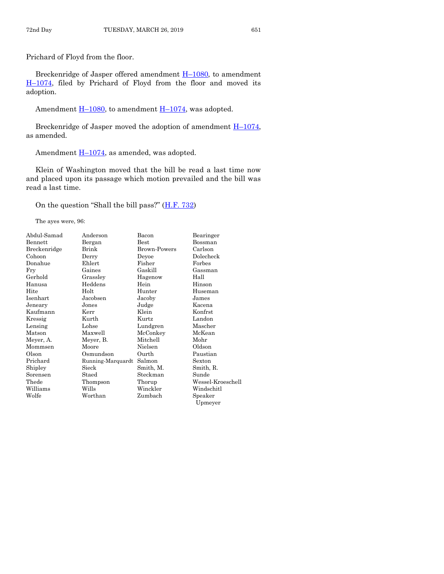Prichard of Floyd from the floor.

Breckenridge of Jasper offered amendment  $H-1080$ , to amendment H–[1074,](https://www.legis.iowa.gov/legislation/BillBook?ga=88&ba=H1074) filed by Prichard of Floyd from the floor and moved its adoption.

Amendment  $H-1080$ , to amendment  $H-1074$ , was adopted.

Breckenridge of Jasper moved the adoption of amendment  $H$ –[1074,](https://www.legis.iowa.gov/legislation/BillBook?ga=88&ba=H1074) as amended.

Amendment  $H-1074$ , as amended, was adopted.

Klein of Washington moved that the bill be read a last time now and placed upon its passage which motion prevailed and the bill was read a last time.

On the question "Shall the bill pass?"  $(H.F. 732)$  $(H.F. 732)$ 

The ayes were, 96:

| Abdul-Samad  | Anderson          | Bacon        | Bearinger         |
|--------------|-------------------|--------------|-------------------|
| Bennett      | Bergan            | <b>Best</b>  | Bossman           |
| Breckenridge | Brink             | Brown-Powers | Carlson           |
| Cohoon       | Derry             | Devoe        | Dolecheck         |
| Donahue      | Ehlert            | Fisher       | Forbes            |
| Fry          | Gaines            | Gaskill      | Gassman           |
| Gerhold      | Grassley          | Hagenow      | Hall              |
| Hanusa       | Heddens           | Hein         | Hinson            |
| Hite         | Holt              | Hunter       | Huseman           |
| Isenhart     | Jacobsen          | Jacoby       | James             |
| Jeneary      | Jones             | Judge        | Kacena            |
| Kaufmann     | Kerr              | Klein        | Konfrst           |
| Kressig      | Kurth             | Kurtz        | Landon            |
| Lensing      | Lohse             | Lundgren     | Mascher           |
| Matson       | Maxwell           | McConkey     | McKean            |
| Meyer, A.    | Meyer, B.         | Mitchell     | Mohr              |
| Mommsen      | Moore             | Nielsen      | Oldson            |
| Olson        | Osmundson         | Ourth        | Paustian          |
| Prichard     | Running-Marquardt | Salmon       | Sexton            |
| Shipley      | Sieck             | Smith, M.    | Smith, R.         |
| Sorensen     | Staed             | Steckman     | Sunde             |
| Thede        | Thompson          | Thorup       | Wessel-Kroeschell |
| Williams     | Wills             | Winckler     | Windschitl        |
| Wolfe        | Worthan           | Zumbach      | Speaker           |
|              |                   |              | Upmeyer           |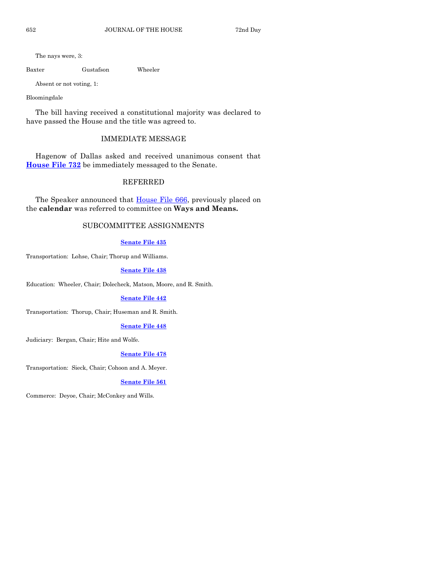The nays were, 3:

Baxter Gustafson Wheeler

Absent or not voting, 1:

Bloomingdale

The bill having received a constitutional majority was declared to have passed the House and the title was agreed to.

# IMMEDIATE MESSAGE

Hagenow of Dallas asked and received unanimous consent that **[House File 732](https://www.legis.iowa.gov/legislation/BillBook?ga=88&ba=HF732)** be immediately messaged to the Senate.

# REFERRED

The Speaker announced that [House File 666,](https://www.legis.iowa.gov/legislation/BillBook?ga=88&ba=HF666) previously placed on the **calendar** was referred to committee on **Ways and Means.**

# SUBCOMMITTEE ASSIGNMENTS

### **[Senate File 435](https://www.legis.iowa.gov/legislation/BillBook?ga=88&ba=SF435)**

Transportation: Lohse, Chair; Thorup and Williams.

### **[Senate File 438](https://www.legis.iowa.gov/legislation/BillBook?ga=88&ba=SF438)**

Education: Wheeler, Chair; Dolecheck, Matson, Moore, and R. Smith.

#### **[Senate File 442](https://www.legis.iowa.gov/legislation/BillBook?ga=88&ba=SF442)**

Transportation: Thorup, Chair; Huseman and R. Smith.

#### **[Senate File 448](https://www.legis.iowa.gov/legislation/BillBook?ga=88&ba=SF448)**

Judiciary: Bergan, Chair; Hite and Wolfe.

#### **[Senate File 478](https://www.legis.iowa.gov/legislation/BillBook?ga=88&ba=SF478)**

Transportation: Sieck, Chair; Cohoon and A. Meyer.

#### **[Senate File 561](https://www.legis.iowa.gov/legislation/BillBook?ga=88&ba=SF561)**

Commerce: Deyoe, Chair; McConkey and Wills.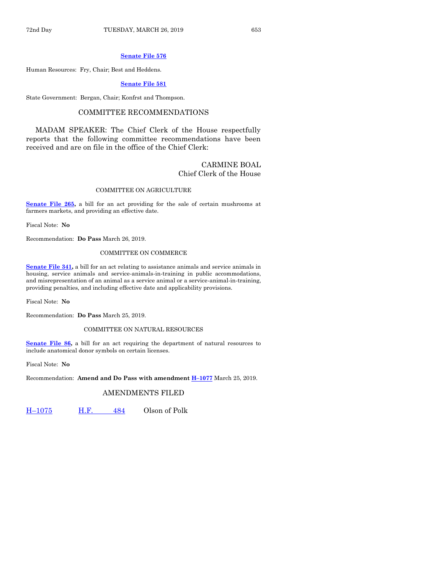#### **[Senate File 576](https://www.legis.iowa.gov/legislation/BillBook?ga=88&ba=SF576)**

Human Resources: Fry, Chair; Best and Heddens.

#### **[Senate File 581](https://www.legis.iowa.gov/legislation/BillBook?ga=88&ba=SF581)**

State Government: Bergan, Chair; Konfrst and Thompson.

# COMMITTEE RECOMMENDATIONS

MADAM SPEAKER: The Chief Clerk of the House respectfully reports that the following committee recommendations have been received and are on file in the office of the Chief Clerk:

#### CARMINE BOAL Chief Clerk of the House

#### COMMITTEE ON AGRICULTURE

**[Senate File 265,](https://www.legis.iowa.gov/legislation/BillBook?ga=88&ba=SF265)** a bill for an act providing for the sale of certain mushrooms at farmers markets, and providing an effective date.

Fiscal Note: **No**

Recommendation: **Do Pass** March 26, 2019.

#### COMMITTEE ON COMMERCE

**[Senate File 341,](https://www.legis.iowa.gov/legislation/BillBook?ga=88&ba=SF341)** a bill for an act relating to assistance animals and service animals in housing, service animals and service-animals-in-training in public accommodations, and misrepresentation of an animal as a service animal or a service-animal-in-training, providing penalties, and including effective date and applicability provisions.

Fiscal Note: **No**

Recommendation: **Do Pass** March 25, 2019.

#### COMMITTEE ON NATURAL RESOURCES

**[Senate File 86,](https://www.legis.iowa.gov/legislation/BillBook?ga=88&ba=SF86)** a bill for an act requiring the department of natural resources to include anatomical donor symbols on certain licenses.

Fiscal Note: **No**

Recommendation: **Amend and Do Pass with amendment H–[1077](https://www.legis.iowa.gov/legislation/BillBook?ga=88&ba=H1077)** March 25, 2019.

#### AMENDMENTS FILED

H–[1075](https://www.legis.iowa.gov/legislation/BillBook?ga=88&ba=H1075) [H.F.](https://www.legis.iowa.gov/legislation/BillBook?ga=88&ba=HF484) 484 Olson of Polk